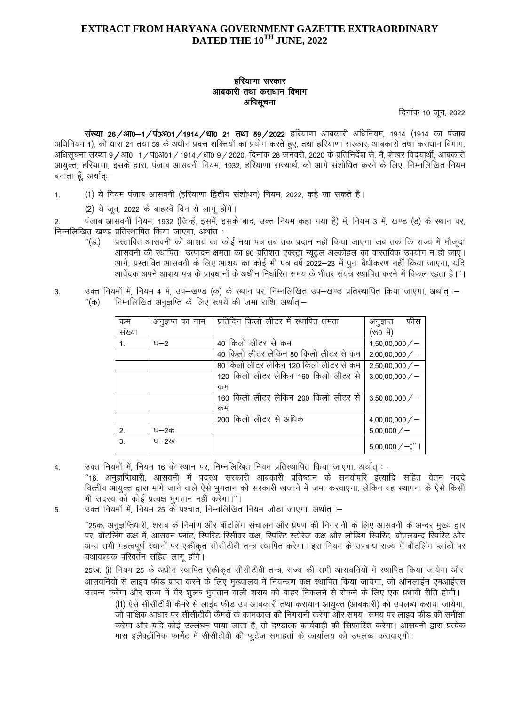### **EXTRACT FROM HARYANA GOVERNMENT GAZETTE EXTRAORDINARY** DATED THE 10<sup>TH</sup> JUNE, 2022

# हरियाणा सरकार आबकारी तथा कराधान विभाग अधिसूचना

दिनांक 10 जून, 2022

संख्या 26 / आ0-1 / पं0अ01 / 1914 / धा0 21 तथा 59 / 2022-हरियाणा आबकारी अधिनियम, 1914 (1914 का पंजाब अधिनियम 1), की धारा 21 तथा 59 के अधीन प्रदत्त शक्तियों का प्रयोग करते हुए, तथा हरियाणा सरकार, आबकारी तथा कराधान विभाग, अधिसूचना संख्या 9/आ0–1/प0अ01/1914/धा0 9/2020, दिनांक 28 जनवरी, 2020 के प्रतिनिर्देश से, मैं, शेखर विदयार्थी, आबकारी आयुक्त, हरियाणा, इसके द्वारा, पंजाब आसवनी नियम, 1932, हरियाणा राज्यार्थ, को आगे संशोधित करने के लिए, निम्नलिखित नियम बनाता हूँ, अर्थात्ः–

(1) ये नियम पंजाब आसवनी (हरियाणा द्वितीय संशोधन) नियम, 2022, कहे जा सकते है।  $1.$ 

(2) ये जन, 2022 के बाहरवें दिन से लाग होंगे।

पंजाब आसवनी नियम, 1932 (जिन्हें, इसमें, इसके बाद, उक्त नियम कहा गया है) में, नियम 3 में, खण्ड (ड) के स्थान पर,  $\mathfrak{D}$ निम्नलिखित खण्ड प्रतिस्थापित किया जाएगा, अर्थात :-

- $\Gamma(\mathfrak{S}_n)$ प्रस्तावित आसवनी को आशय का कोई नया पत्र तब तक प्रदान नहीं किया जाएगा जब तक कि राज्य में मौजूदा आसवनी की स्थापित) उत्पादन क्षमता का 90 प्रतिशत एक्स्ट्रा न्यूट्रल अल्कोहल का वास्तविक उपयोग न हो जाए। आगे. प्रस्तावित आसवनी के लिए आशय का कोई भी पत्र वर्ष 2022–23 में पनः वैधीकरण नहीं किया जाएगा. यदि आवेदक अपने आशय पत्र के प्रावधानों के अधीन निर्धारित समय के भीतर संयंत्र स्थापित करने में विफल रहता है।''।
- उक्त नियमों में, नियम 4 में, उप-खण्ड (क) के स्थान पर, निम्नलिखित उप-खण्ड प्रतिस्थापित किया जाएगा, अर्थात :- $3<sub>l</sub>$  $"(\overline{\sigma})$ निम्नलिखित अनुज्ञप्ति के लिए रूपये की जमा राशि, अर्थात:-

| क्रम   | अनुज्ञप्त का नाम | प्रतिदिन किलो लीटर में स्थापित क्षमता   | फीस<br>अनुज्ञप्त    |
|--------|------------------|-----------------------------------------|---------------------|
| संख्या |                  |                                         | (रूo में)           |
| 1.     | $E - 2$          | 40 किलो लीटर से कम                      | 1,50,00,000/        |
|        |                  | 40 किलो लीटर लेकिन 80 किलो लीटर से कम   | 2,00,00,000/        |
|        |                  | 80 किलो लीटर लेकिन 120 किलो लीटर से कम  | 2,50,00,000/        |
|        |                  | 120 किलो लीटर लेकिन 160 किलो लीटर से    | 3,00,00,000/        |
|        |                  | कम                                      |                     |
|        |                  | किलो लीटर लेकिन 200 किलो लीटर से<br>160 | 3,50,00,000/        |
|        |                  | कम                                      |                     |
|        |                  | 200 किलो लीटर से अधिक                   | 4,00,00,000/        |
| 2.     | घ–2क             |                                         | 5,00,000/           |
| 3.     | घ-2ख             |                                         | $5,00,000$ / $-$ ;" |

उक्त नियमों में, नियम 16 के स्थान पर, निम्नलिखित नियम प्रतिस्थापित किया जाएगा, अर्थात :-4. ''16. अनुज्ञप्तिधारी, आसवनी में पदस्थ सरकारी आबकारी प्रतिष्ठान के समयोपरि इत्यादि सहित वेतन मददे

वित्तीय आयुक्त द्वारा मांगे जाने वाले ऐसे भुगतान को सरकारी खजाने में जमा करवाएगा, लेकिन वह स्थापना के ऐसे किसी भी सदस्य को कोई प्रत्यक्ष भुगतान नहीं करेगा।"।

उक्त नियमों में, नियम 25 के पश्चात, निम्नलिखित नियम जोड़ा जाएगा, अर्थात :- $\overline{5}$ 

> ''25क. अनुज्ञप्तिधारी, शराब के निर्माण और बॉटलिंग संचालन और प्रेषण की निगरानी के लिए आसवनी के अन्दर मुख्य द्वार पर, बॉटलिंग कक्ष में, आसवन प्लांट, स्पिरिट रिसीवर कक्ष, स्पिरिट स्टोरेज कक्ष और लोडिंग स्पिरिट, बोतलबन्द स्पिरिट और अन्य सभी महत्वपूर्ण स्थानों पर एकीकृत सीसीटीवी तन्त्र स्थापित करेगा। इस नियम के उपबन्ध राज्य में बोटलिंग प्लांटों पर यथावश्यक परिवर्तन सहित लागू होंगे।

> 25ख. (i) नियम 25 के अधीन स्थापित एकीकृत सीसीटीवी तन्त्र, राज्य की सभी आसवनियों में स्थापित किया जायेगा और आसवनियों से लाइव फीड प्राप्त करने के लिए मुख्यालय में नियन्त्रण कक्ष स्थापित किया जायेगा, जो ऑनलाईन एमआईएस उत्पन्न करेगा और राज्य में गैर शुल्क भुगतान वाली शराब को बाहर निकलने से रोकने के लिए एक प्रभावी रीति होगी।

(ii) ऐसे सीसीटीवी कैमरे से लाईव फीड उप आबकारी तथा कराधान आयुक्त (आबकारी) को उपलब्ध कराया जायेगा, जो पाक्षिक आधार पर सीसीटीवी कैमरों के कामकाज की निगरानी करेगा और समय—समय पर लाइव फीड की समीक्षा करेगा और यदि कोई उल्लंघन पाया जाता है, तो दण्डात्क कार्यवाही की सिफारिश करेगा। आसवनी द्वारा प्रत्येक मास इलैक्ट्रॉनिक फार्मेट में सीसीटीवी की फुटेज समाहर्ता के कार्यालय को उपलब्ध करावाएगी।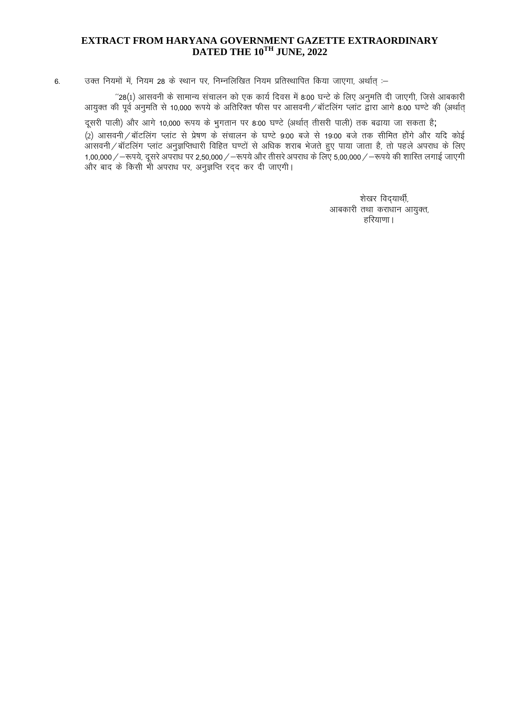# EXTRACT FROM HARYANA GOVERNMENT GAZETTE EXTRAORDINARY DATED THE 10TH JUNE, 2022

उक्त नियमों में, नियम 28 के स्थान पर, निम्नलिखित नियम प्रतिस्थापित किया जाएगा, अर्थात :- $6.$ 

''28(1) आसवनी के सामान्य संचालन को एक कार्य दिवस में 8:00 घन्टे के लिए अनुमति दी जाएगी, जिसे आबकारी आयुक्त की पूर्व अनुमति से 10,000 रूपये के अतिरिक्त फीस पर आसवनी / बॉटलिंग प्लांट द्वारा आगे 8:00 घण्टे की (अर्थात्

दूसरी पाली) और आगे 10,000 रूपय के भुगतान पर 8:00 घण्टे (अर्थात् तीसरी पाली) तक बढ़ाया जा सकता है; (2) आसवनी / बॉटलिंग प्लांट से प्रेषण के संचालन के घण्टे 9:00 बजे से 19:00 बजे तक सीमित होंगे और यदि कोई ्<br>आसवनी∕बॉटलिंग प्लांट अनुज्ञप्तिधारी विहित घण्टों से अधिक शराब भेजते हुए पाया जाता है, तो पहले अपराध के लिए 1,00,000 / - रूपये, दूसरे अपराध पर 2,50,000 / - रूपये और तीसरे अपराध के लिए 5,00,000 / - रूपये की शारित लगाई जाएगी और बाद के किसी भी अपराध पर, अनुज्ञप्ति रद्द कर दी जाएगी।

> शेखर विदयार्थी, आबकारी तथा कराधान आयुक्त, हरियाणा ।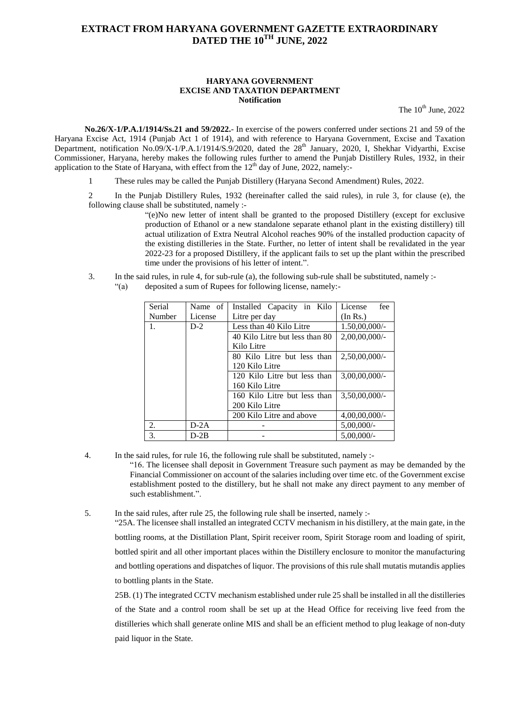### **EXTRACT FROM HARYANA GOVERNMENT GAZETTE EXTRAORDINARY DATED THE 10TH JUNE, 2022**

#### **HARYANA GOVERNMENT EXCISE AND TAXATION DEPARTMENT Notification**

The  $10^{th}$  June,  $2022$ 

**No.26/X-1/P.A.1/1914/Ss.21 and 59/2022.**- In exercise of the powers conferred under sections 21 and 59 of the Haryana Excise Act, 1914 (Punjab Act 1 of 1914), and with reference to Haryana Government, Excise and Taxation Department, notification No.09/X-1/P.A.1/1914/S.9/2020, dated the 28<sup>th</sup> January, 2020, I, Shekhar Vidyarthi, Excise Commissioner, Haryana, hereby makes the following rules further to amend the Punjab Distillery Rules, 1932, in their application to the State of Haryana, with effect from the  $12<sup>th</sup>$  day of June, 2022, namely:-

1 These rules may be called the Punjab Distillery (Haryana Second Amendment) Rules, 2022.

2 In the Punjab Distillery Rules, 1932 (hereinafter called the said rules), in rule 3, for clause (e), the following clause shall be substituted, namely :-

> "(e)No new letter of intent shall be granted to the proposed Distillery (except for exclusive production of Ethanol or a new standalone separate ethanol plant in the existing distillery) till actual utilization of Extra Neutral Alcohol reaches 90% of the installed production capacity of the existing distilleries in the State. Further, no letter of intent shall be revalidated in the year 2022-23 for a proposed Distillery, if the applicant fails to set up the plant within the prescribed time under the provisions of his letter of intent.".

- 3. In the said rules, in rule 4, for sub-rule (a), the following sub-rule shall be substituted, namely :-
	- "(a) deposited a sum of Rupees for following license, namely:-

| Serial | Name of | Installed Capacity in Kilo     | License<br>fee   |
|--------|---------|--------------------------------|------------------|
| Number | License | Litre per day                  | (In Rs.)         |
| 1.     | $D-2$   | Less than 40 Kilo Litre        | $1.50,00,000/$ - |
|        |         | 40 Kilo Litre but less than 80 | $2,00,00,000/$ - |
|        |         | Kilo Litre                     |                  |
|        |         | 80 Kilo Litre but less than    | $2,50,00,000/$ - |
|        |         | 120 Kilo Litre                 |                  |
|        |         | 120 Kilo Litre but less than   | $3,00,00,000/$ - |
|        |         | 160 Kilo Litre                 |                  |
|        |         | 160 Kilo Litre but less than   | $3.50.00.000/-$  |
|        |         | 200 Kilo Litre                 |                  |
|        |         | 200 Kilo Litre and above       | $4,00,00,000/$ - |
| 2.     | $D-2A$  |                                | $5,00,000/$ -    |
| 3.     | $D-2B$  |                                | $5.00.000/-$     |

4. In the said rules, for rule 16, the following rule shall be substituted, namely :- "16. The licensee shall deposit in Government Treasure such payment as may be demanded by the Financial Commissioner on account of the salaries including over time etc. of the Government excise establishment posted to the distillery, but he shall not make any direct payment to any member of such establishment.".

5. In the said rules, after rule 25, the following rule shall be inserted, namely :-

"25A. The licensee shall installed an integrated CCTV mechanism in his distillery, at the main gate, in the bottling rooms, at the Distillation Plant, Spirit receiver room, Spirit Storage room and loading of spirit, bottled spirit and all other important places within the Distillery enclosure to monitor the manufacturing and bottling operations and dispatches of liquor. The provisions of this rule shall mutatis mutandis applies to bottling plants in the State.

25B. (1) The integrated CCTV mechanism established under rule 25 shall be installed in all the distilleries of the State and a control room shall be set up at the Head Office for receiving live feed from the distilleries which shall generate online MIS and shall be an efficient method to plug leakage of non-duty paid liquor in the State.